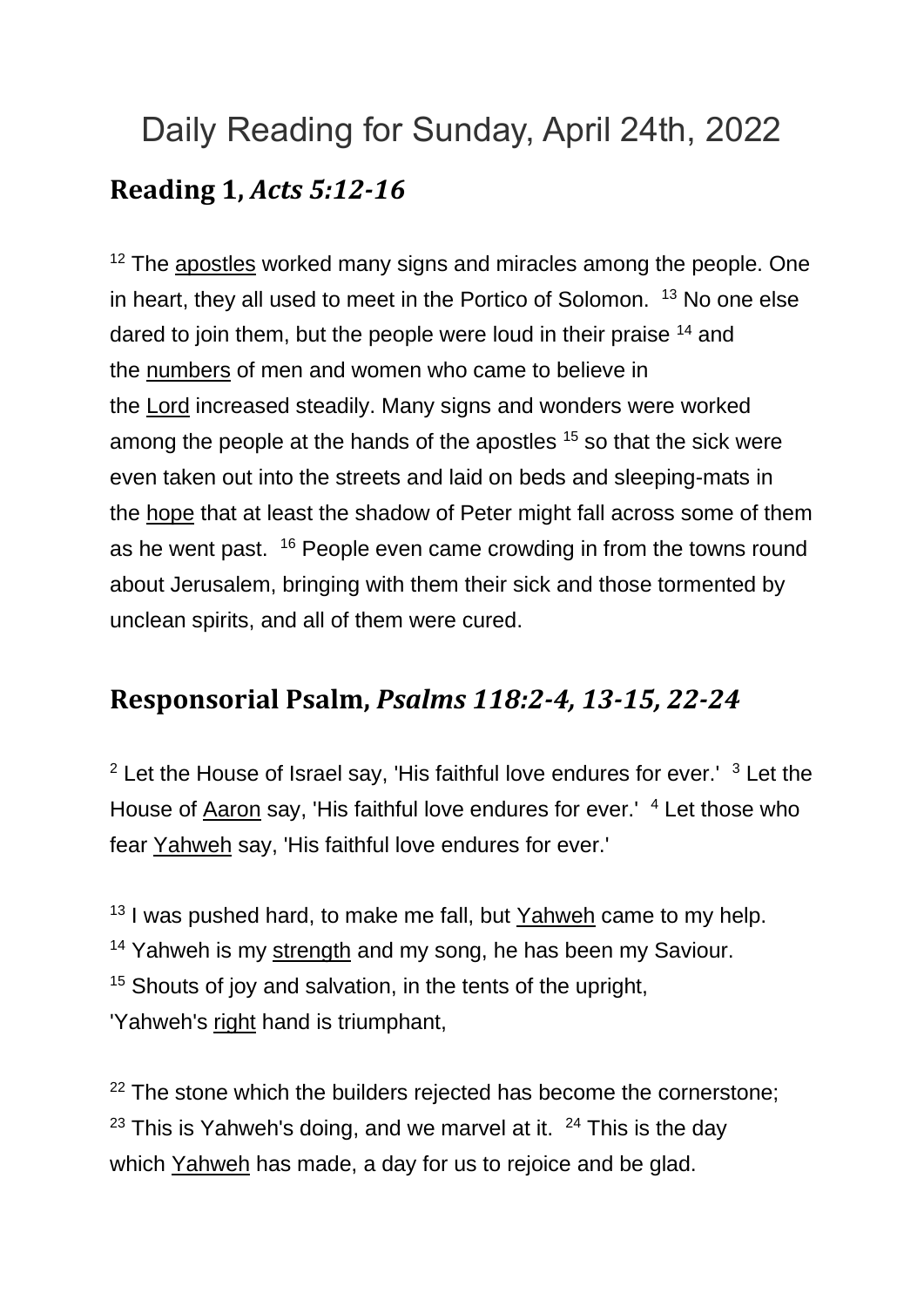## Daily Reading for Sunday, April 24th, 2022 **Reading 1,** *Acts 5:12-16*

 $12$  The [apostles](https://www.catholic.org/encyclopedia/view.php?id=933) worked many signs and miracles among the people. One in heart, they all used to meet in the Portico of Solomon. <sup>13</sup> No one else dared to join them, but the people were loud in their praise <sup>14</sup> and the [numbers](https://www.catholic.org/bible/book.php?id=4) of men and women who came to believe in the [Lord](https://www.catholic.org/encyclopedia/view.php?id=5217) increased steadily. Many signs and wonders were worked among the people at the hands of the apostles <sup>15</sup> so that the sick were even taken out into the streets and laid on beds and sleeping-mats in the [hope](https://www.catholic.org/encyclopedia/view.php?id=5889) that at least the shadow of Peter might fall across some of them as he went past. <sup>16</sup> People even came crowding in from the towns round about Jerusalem, bringing with them their sick and those tormented by unclean spirits, and all of them were cured.

## **Responsorial Psalm,** *Psalms 118:2-4, 13-15, 22-24*

 $2$  Let the House of Israel say, 'His faithful love endures for ever.'  $3$  Let the House of [Aaron](https://www.catholic.org/encyclopedia/view.php?id=5) say, 'His faithful love endures for ever.' <sup>4</sup> Let those who fear [Yahweh](https://www.catholic.org/encyclopedia/view.php?id=6291) say, 'His faithful love endures for ever.'

 $13$  I was pushed hard, to make me fall, but [Yahweh](https://www.catholic.org/encyclopedia/view.php?id=6291) came to my help.  $14$  Yahweh is my [strength](https://www.catholic.org/prayers/prayer.php?p=2917) and my song, he has been my Saviour. <sup>15</sup> Shouts of joy and salvation, in the tents of the upright, 'Yahweh's [right](https://www.catholic.org/encyclopedia/view.php?id=10046) hand is triumphant,

 $22$  The stone which the builders rejected has become the cornerstone; <sup>23</sup> This is Yahweh's doing, and we marvel at it.  $24$  This is the day which [Yahweh](https://www.catholic.org/encyclopedia/view.php?id=6291) has made, a day for us to rejoice and be glad.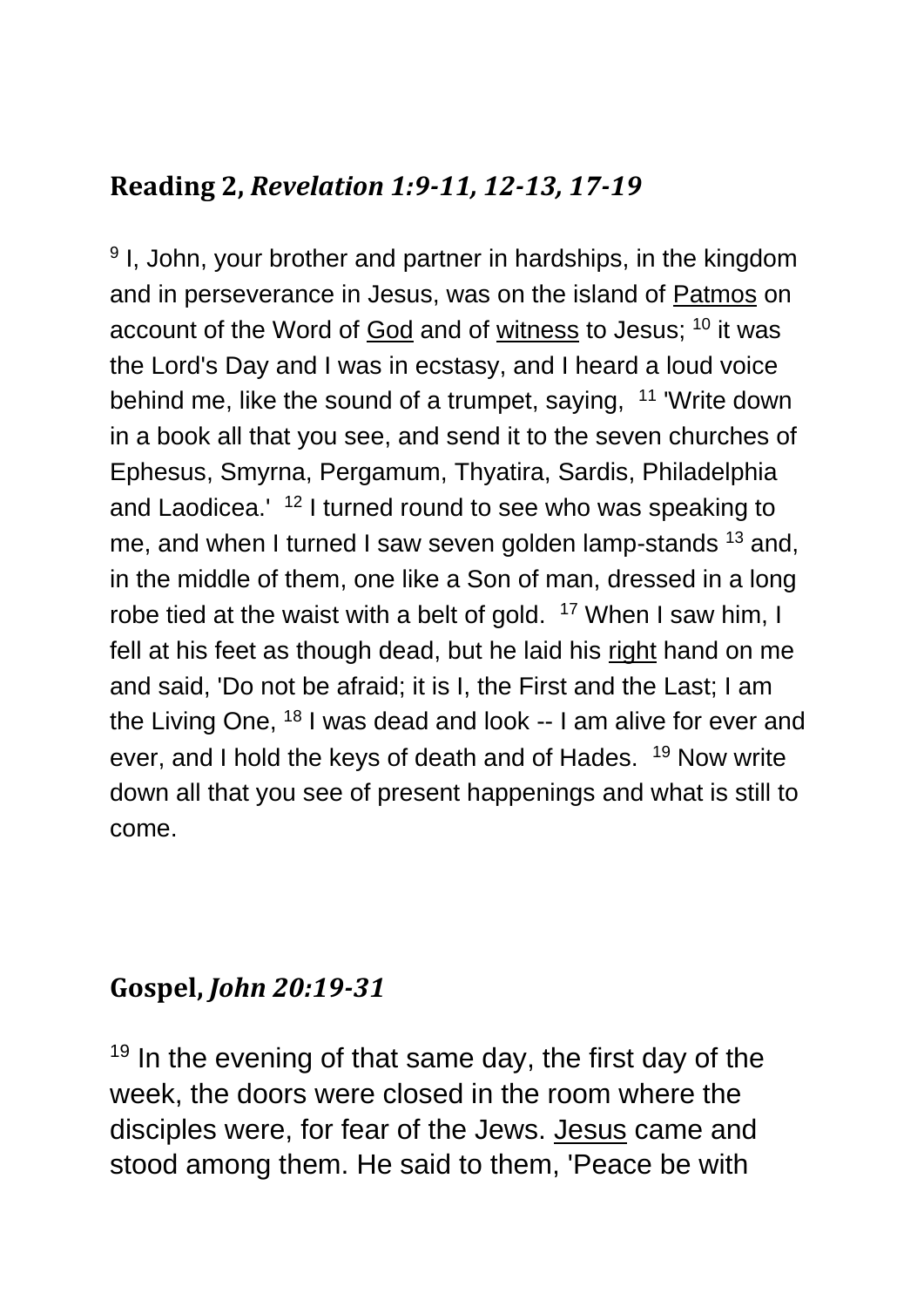## **Reading 2,** *Revelation 1:9-11, 12-13, 17-19*

<sup>9</sup> I, John, your brother and partner in hardships, in the kingdom and in perseverance in Jesus, was on the island of [Patmos](https://www.catholic.org/encyclopedia/view.php?id=9053) on account of the Word of [God](https://www.catholic.org/encyclopedia/view.php?id=5217) and of [witness](https://www.catholic.org/encyclopedia/view.php?id=12423) to Jesus; <sup>10</sup> it was the Lord's Day and I was in ecstasy, and I heard a loud voice behind me, like the sound of a trumpet, saying, <sup>11</sup> 'Write down in a book all that you see, and send it to the seven churches of Ephesus, Smyrna, Pergamum, Thyatira, Sardis, Philadelphia and Laodicea.' <sup>12</sup> I turned round to see who was speaking to me, and when I turned I saw seven golden lamp-stands <sup>13</sup> and, in the middle of them, one like a Son of man, dressed in a long robe tied at the waist with a belt of gold. <sup>17</sup> When I saw him, I fell at his feet as though dead, but he laid his [right](https://www.catholic.org/encyclopedia/view.php?id=10046) hand on me and said, 'Do not be afraid; it is I, the First and the Last; I am the Living One, <sup>18</sup> I was dead and look -- I am alive for ever and ever, and I hold the keys of death and of Hades. <sup>19</sup> Now write down all that you see of present happenings and what is still to come.

## **Gospel,** *John 20:19-31*

 $19$  In the evening of that same day, the first day of the week, the doors were closed in the room where the disciples were, for fear of the Jews. [Jesus](https://www.catholic.org/clife/jesus) came and stood among them. He said to them, 'Peace be with